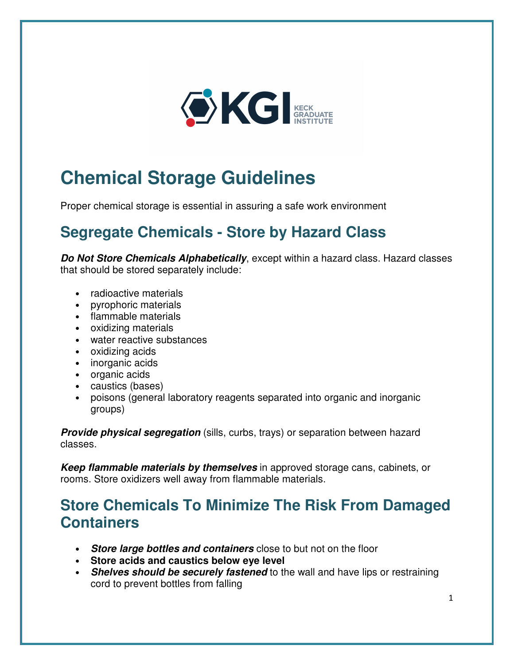

# **Chemical Storage Guidelines**

Proper chemical storage is essential in assuring a safe work environment

## **Segregate Chemicals - Store by Hazard Class**

**Do Not Store Chemicals Alphabetically**, except within a hazard class. Hazard classes that should be stored separately include:

- radioactive materials
- pyrophoric materials
- flammable materials
- oxidizing materials
- water reactive substances
- oxidizing acids
- inorganic acids
- organic acids
- caustics (bases)
- poisons (general laboratory reagents separated into organic and inorganic groups)

**Provide physical segregation** (sills, curbs, trays) or separation between hazard classes.

**Keep flammable materials by themselves** in approved storage cans, cabinets, or rooms. Store oxidizers well away from flammable materials.

#### **Store Chemicals To Minimize The Risk From Damaged Containers**

- **Store large bottles and containers** close to but not on the floor
- **Store acids and caustics below eye level**
- **Shelves should be securely fastened** to the wall and have lips or restraining cord to prevent bottles from falling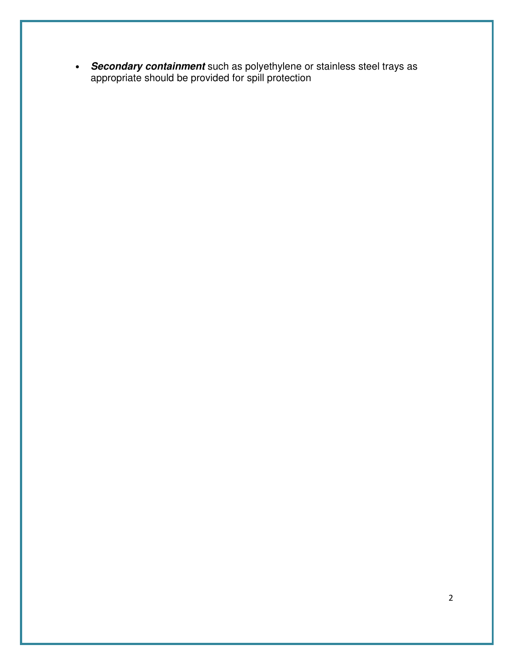• **Secondary containment** such as polyethylene or stainless steel trays as appropriate should be provided for spill protection